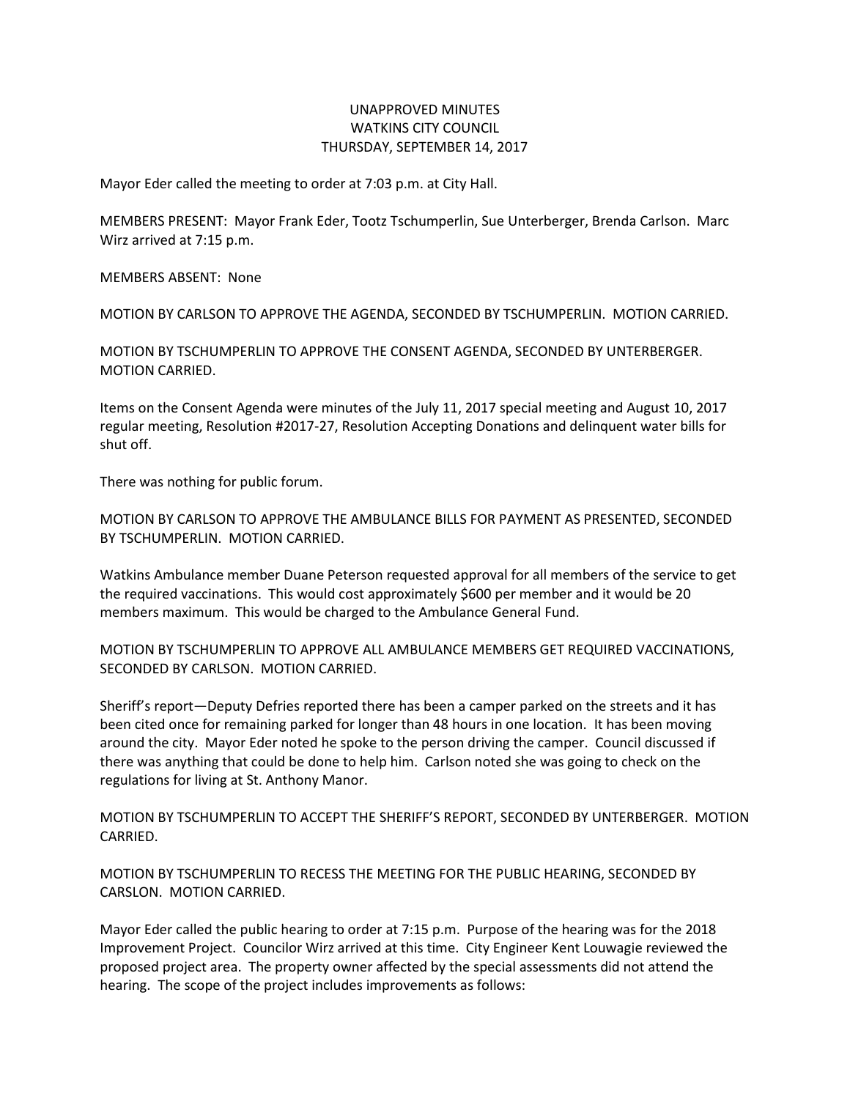## UNAPPROVED MINUTES WATKINS CITY COUNCIL THURSDAY, SEPTEMBER 14, 2017

Mayor Eder called the meeting to order at 7:03 p.m. at City Hall.

MEMBERS PRESENT: Mayor Frank Eder, Tootz Tschumperlin, Sue Unterberger, Brenda Carlson. Marc Wirz arrived at 7:15 p.m.

MEMBERS ABSENT: None

MOTION BY CARLSON TO APPROVE THE AGENDA, SECONDED BY TSCHUMPERLIN. MOTION CARRIED.

MOTION BY TSCHUMPERLIN TO APPROVE THE CONSENT AGENDA, SECONDED BY UNTERBERGER. MOTION CARRIED.

Items on the Consent Agenda were minutes of the July 11, 2017 special meeting and August 10, 2017 regular meeting, Resolution #2017-27, Resolution Accepting Donations and delinquent water bills for shut off.

There was nothing for public forum.

MOTION BY CARLSON TO APPROVE THE AMBULANCE BILLS FOR PAYMENT AS PRESENTED, SECONDED BY TSCHUMPERLIN. MOTION CARRIED.

Watkins Ambulance member Duane Peterson requested approval for all members of the service to get the required vaccinations. This would cost approximately \$600 per member and it would be 20 members maximum. This would be charged to the Ambulance General Fund.

MOTION BY TSCHUMPERLIN TO APPROVE ALL AMBULANCE MEMBERS GET REQUIRED VACCINATIONS, SECONDED BY CARLSON. MOTION CARRIED.

Sheriff's report—Deputy Defries reported there has been a camper parked on the streets and it has been cited once for remaining parked for longer than 48 hours in one location. It has been moving around the city. Mayor Eder noted he spoke to the person driving the camper. Council discussed if there was anything that could be done to help him. Carlson noted she was going to check on the regulations for living at St. Anthony Manor.

MOTION BY TSCHUMPERLIN TO ACCEPT THE SHERIFF'S REPORT, SECONDED BY UNTERBERGER. MOTION CARRIED.

MOTION BY TSCHUMPERLIN TO RECESS THE MEETING FOR THE PUBLIC HEARING, SECONDED BY CARSLON. MOTION CARRIED.

Mayor Eder called the public hearing to order at 7:15 p.m. Purpose of the hearing was for the 2018 Improvement Project. Councilor Wirz arrived at this time. City Engineer Kent Louwagie reviewed the proposed project area. The property owner affected by the special assessments did not attend the hearing. The scope of the project includes improvements as follows: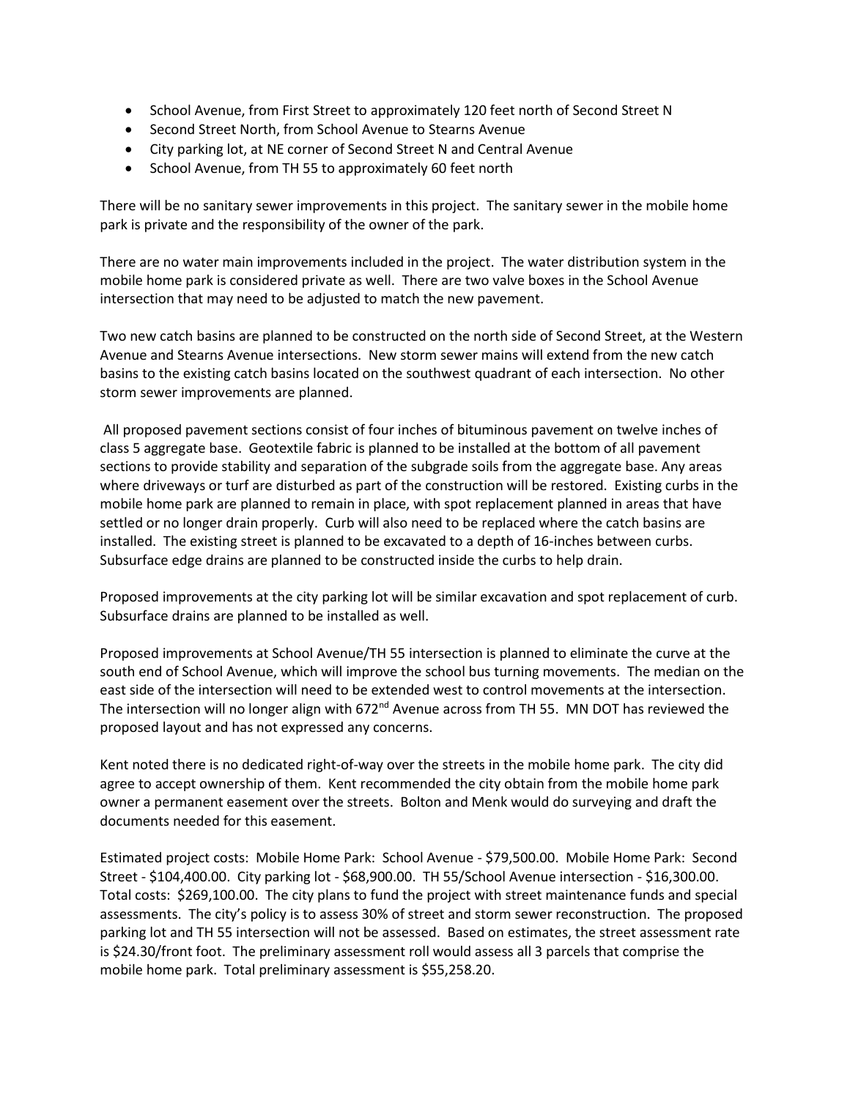- School Avenue, from First Street to approximately 120 feet north of Second Street N
- Second Street North, from School Avenue to Stearns Avenue
- City parking lot, at NE corner of Second Street N and Central Avenue
- School Avenue, from TH 55 to approximately 60 feet north

There will be no sanitary sewer improvements in this project. The sanitary sewer in the mobile home park is private and the responsibility of the owner of the park.

There are no water main improvements included in the project. The water distribution system in the mobile home park is considered private as well. There are two valve boxes in the School Avenue intersection that may need to be adjusted to match the new pavement.

Two new catch basins are planned to be constructed on the north side of Second Street, at the Western Avenue and Stearns Avenue intersections. New storm sewer mains will extend from the new catch basins to the existing catch basins located on the southwest quadrant of each intersection. No other storm sewer improvements are planned.

All proposed pavement sections consist of four inches of bituminous pavement on twelve inches of class 5 aggregate base. Geotextile fabric is planned to be installed at the bottom of all pavement sections to provide stability and separation of the subgrade soils from the aggregate base. Any areas where driveways or turf are disturbed as part of the construction will be restored. Existing curbs in the mobile home park are planned to remain in place, with spot replacement planned in areas that have settled or no longer drain properly. Curb will also need to be replaced where the catch basins are installed. The existing street is planned to be excavated to a depth of 16-inches between curbs. Subsurface edge drains are planned to be constructed inside the curbs to help drain.

Proposed improvements at the city parking lot will be similar excavation and spot replacement of curb. Subsurface drains are planned to be installed as well.

Proposed improvements at School Avenue/TH 55 intersection is planned to eliminate the curve at the south end of School Avenue, which will improve the school bus turning movements. The median on the east side of the intersection will need to be extended west to control movements at the intersection. The intersection will no longer align with 672<sup>nd</sup> Avenue across from TH 55. MN DOT has reviewed the proposed layout and has not expressed any concerns.

Kent noted there is no dedicated right-of-way over the streets in the mobile home park. The city did agree to accept ownership of them. Kent recommended the city obtain from the mobile home park owner a permanent easement over the streets. Bolton and Menk would do surveying and draft the documents needed for this easement.

Estimated project costs: Mobile Home Park: School Avenue - \$79,500.00. Mobile Home Park: Second Street - \$104,400.00. City parking lot - \$68,900.00. TH 55/School Avenue intersection - \$16,300.00. Total costs: \$269,100.00. The city plans to fund the project with street maintenance funds and special assessments. The city's policy is to assess 30% of street and storm sewer reconstruction. The proposed parking lot and TH 55 intersection will not be assessed. Based on estimates, the street assessment rate is \$24.30/front foot. The preliminary assessment roll would assess all 3 parcels that comprise the mobile home park. Total preliminary assessment is \$55,258.20.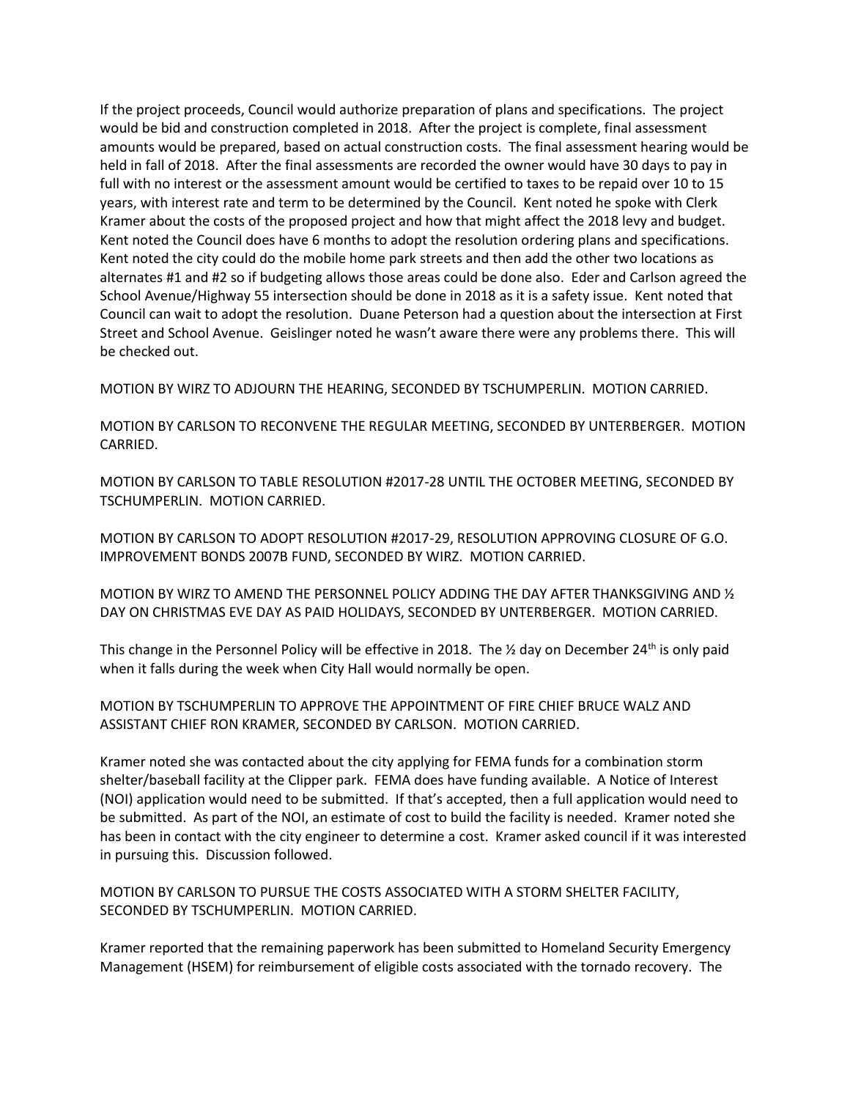If the project proceeds, Council would authorize preparation of plans and specifications. The project would be bid and construction completed in 2018. After the project is complete, final assessment amounts would be prepared, based on actual construction costs. The final assessment hearing would be held in fall of 2018. After the final assessments are recorded the owner would have 30 days to pay in full with no interest or the assessment amount would be certified to taxes to be repaid over 10 to 15 years, with interest rate and term to be determined by the Council. Kent noted he spoke with Clerk Kramer about the costs of the proposed project and how that might affect the 2018 levy and budget. Kent noted the Council does have 6 months to adopt the resolution ordering plans and specifications. Kent noted the city could do the mobile home park streets and then add the other two locations as alternates #1 and #2 so if budgeting allows those areas could be done also. Eder and Carlson agreed the School Avenue/Highway 55 intersection should be done in 2018 as it is a safety issue. Kent noted that Council can wait to adopt the resolution. Duane Peterson had a question about the intersection at First Street and School Avenue. Geislinger noted he wasn't aware there were any problems there. This will be checked out.

MOTION BY WIRZ TO ADJOURN THE HEARING, SECONDED BY TSCHUMPERLIN. MOTION CARRIED.

MOTION BY CARLSON TO RECONVENE THE REGULAR MEETING, SECONDED BY UNTERBERGER. MOTION CARRIED.

MOTION BY CARLSON TO TABLE RESOLUTION #2017-28 UNTIL THE OCTOBER MEETING, SECONDED BY TSCHUMPERLIN. MOTION CARRIED.

MOTION BY CARLSON TO ADOPT RESOLUTION #2017-29, RESOLUTION APPROVING CLOSURE OF G.O. IMPROVEMENT BONDS 2007B FUND, SECONDED BY WIRZ. MOTION CARRIED.

MOTION BY WIRZ TO AMEND THE PERSONNEL POLICY ADDING THE DAY AFTER THANKSGIVING AND ½ DAY ON CHRISTMAS EVE DAY AS PAID HOLIDAYS, SECONDED BY UNTERBERGER. MOTION CARRIED.

This change in the Personnel Policy will be effective in 2018. The  $\frac{1}{2}$  day on December 24<sup>th</sup> is only paid when it falls during the week when City Hall would normally be open.

MOTION BY TSCHUMPERLIN TO APPROVE THE APPOINTMENT OF FIRE CHIEF BRUCE WALZ AND ASSISTANT CHIEF RON KRAMER, SECONDED BY CARLSON. MOTION CARRIED.

Kramer noted she was contacted about the city applying for FEMA funds for a combination storm shelter/baseball facility at the Clipper park. FEMA does have funding available. A Notice of Interest (NOI) application would need to be submitted. If that's accepted, then a full application would need to be submitted. As part of the NOI, an estimate of cost to build the facility is needed. Kramer noted she has been in contact with the city engineer to determine a cost. Kramer asked council if it was interested in pursuing this. Discussion followed.

MOTION BY CARLSON TO PURSUE THE COSTS ASSOCIATED WITH A STORM SHELTER FACILITY, SECONDED BY TSCHUMPERLIN. MOTION CARRIED.

Kramer reported that the remaining paperwork has been submitted to Homeland Security Emergency Management (HSEM) for reimbursement of eligible costs associated with the tornado recovery. The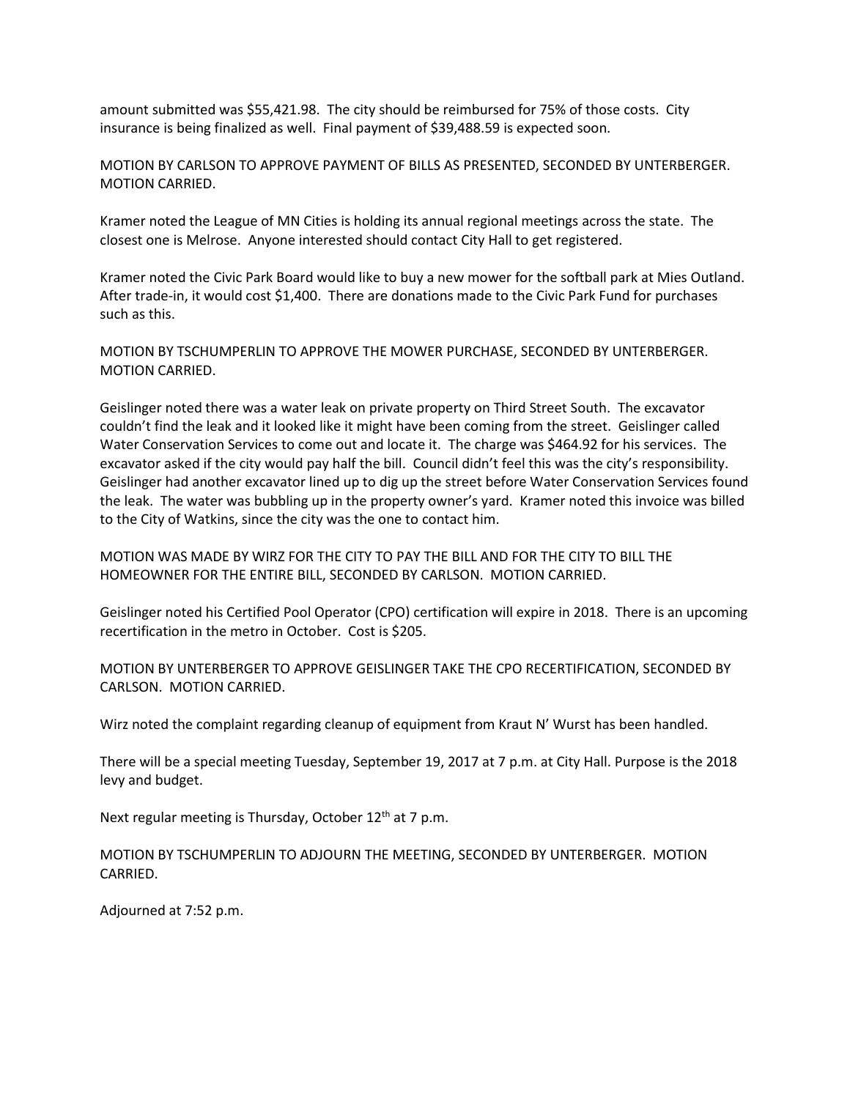amount submitted was \$55,421.98. The city should be reimbursed for 75% of those costs. City insurance is being finalized as well. Final payment of \$39,488.59 is expected soon.

MOTION BY CARLSON TO APPROVE PAYMENT OF BILLS AS PRESENTED, SECONDED BY UNTERBERGER. MOTION CARRIED.

Kramer noted the League of MN Cities is holding its annual regional meetings across the state. The closest one is Melrose. Anyone interested should contact City Hall to get registered.

Kramer noted the Civic Park Board would like to buy a new mower for the softball park at Mies Outland. After trade-in, it would cost \$1,400. There are donations made to the Civic Park Fund for purchases such as this.

MOTION BY TSCHUMPERLIN TO APPROVE THE MOWER PURCHASE, SECONDED BY UNTERBERGER. MOTION CARRIED.

Geislinger noted there was a water leak on private property on Third Street South. The excavator couldn't find the leak and it looked like it might have been coming from the street. Geislinger called Water Conservation Services to come out and locate it. The charge was \$464.92 for his services. The excavator asked if the city would pay half the bill. Council didn't feel this was the city's responsibility. Geislinger had another excavator lined up to dig up the street before Water Conservation Services found the leak. The water was bubbling up in the property owner's yard. Kramer noted this invoice was billed to the City of Watkins, since the city was the one to contact him.

MOTION WAS MADE BY WIRZ FOR THE CITY TO PAY THE BILL AND FOR THE CITY TO BILL THE HOMEOWNER FOR THE ENTIRE BILL, SECONDED BY CARLSON. MOTION CARRIED.

Geislinger noted his Certified Pool Operator (CPO) certification will expire in 2018. There is an upcoming recertification in the metro in October. Cost is \$205.

MOTION BY UNTERBERGER TO APPROVE GEISLINGER TAKE THE CPO RECERTIFICATION, SECONDED BY CARLSON. MOTION CARRIED.

Wirz noted the complaint regarding cleanup of equipment from Kraut N' Wurst has been handled.

There will be a special meeting Tuesday, September 19, 2017 at 7 p.m. at City Hall. Purpose is the 2018 levy and budget.

Next regular meeting is Thursday, October 12<sup>th</sup> at 7 p.m.

MOTION BY TSCHUMPERLIN TO ADJOURN THE MEETING, SECONDED BY UNTERBERGER. MOTION CARRIED.

Adjourned at 7:52 p.m.